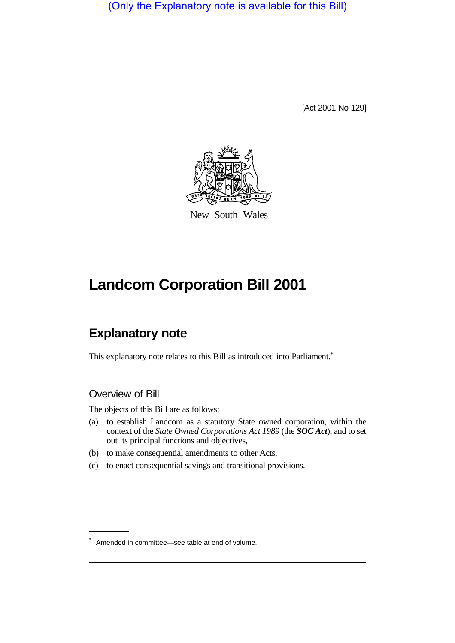(Only the Explanatory note is available for this Bill)

[Act 2001 No 129]



New South Wales

# **Landcom Corporation Bill 2001**

# **Explanatory note**

This explanatory note relates to this Bill as introduced into Parliament.<sup>\*</sup>

# Overview of Bill

The objects of this Bill are as follows:

- (a) to establish Landcom as a statutory State owned corporation, within the context of the *State Owned Corporations Act 1989* (the *SOC Act*), and to set out its principal functions and objectives,
- (b) to make consequential amendments to other Acts,
- (c) to enact consequential savings and transitional provisions.

<sup>\*</sup> Amended in committee—see table at end of volume.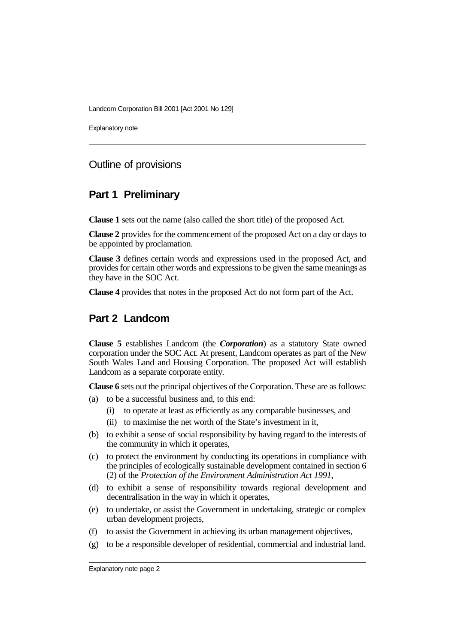Explanatory note

#### Outline of provisions

#### **Part 1 Preliminary**

**Clause 1** sets out the name (also called the short title) of the proposed Act.

**Clause 2** provides for the commencement of the proposed Act on a day or days to be appointed by proclamation.

**Clause 3** defines certain words and expressions used in the proposed Act, and provides for certain other words and expressions to be given the same meanings as they have in the SOC Act.

**Clause 4** provides that notes in the proposed Act do not form part of the Act.

# **Part 2 Landcom**

**Clause 5** establishes Landcom (the *Corporation*) as a statutory State owned corporation under the SOC Act. At present, Landcom operates as part of the New South Wales Land and Housing Corporation. The proposed Act will establish Landcom as a separate corporate entity.

**Clause 6** sets out the principal objectives of the Corporation. These are as follows:

- (a) to be a successful business and, to this end:
	- (i) to operate at least as efficiently as any comparable businesses, and
	- (ii) to maximise the net worth of the State's investment in it,
- (b) to exhibit a sense of social responsibility by having regard to the interests of the community in which it operates,
- (c) to protect the environment by conducting its operations in compliance with the principles of ecologically sustainable development contained in section 6 (2) of the *Protection of the Environment Administration Act 1991*,
- (d) to exhibit a sense of responsibility towards regional development and decentralisation in the way in which it operates,
- (e) to undertake, or assist the Government in undertaking, strategic or complex urban development projects,
- (f) to assist the Government in achieving its urban management objectives,
- (g) to be a responsible developer of residential, commercial and industrial land.

Explanatory note page 2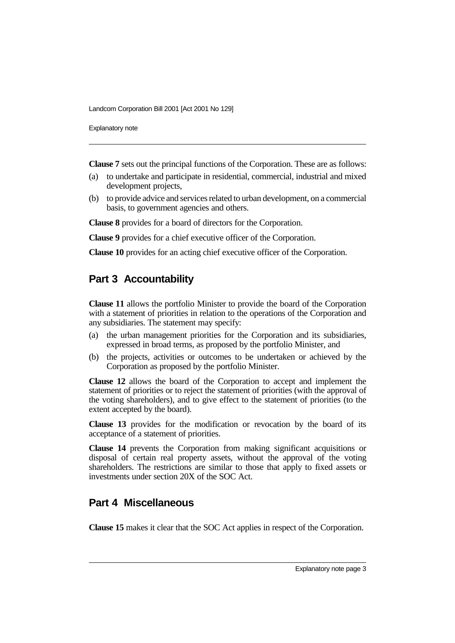Explanatory note

**Clause 7** sets out the principal functions of the Corporation. These are as follows:

- (a) to undertake and participate in residential, commercial, industrial and mixed development projects,
- (b) to provide advice and services related to urban development, on a commercial basis, to government agencies and others.

**Clause 8** provides for a board of directors for the Corporation.

**Clause 9** provides for a chief executive officer of the Corporation.

**Clause 10** provides for an acting chief executive officer of the Corporation.

# **Part 3 Accountability**

**Clause 11** allows the portfolio Minister to provide the board of the Corporation with a statement of priorities in relation to the operations of the Corporation and any subsidiaries. The statement may specify:

- (a) the urban management priorities for the Corporation and its subsidiaries, expressed in broad terms, as proposed by the portfolio Minister, and
- (b) the projects, activities or outcomes to be undertaken or achieved by the Corporation as proposed by the portfolio Minister.

**Clause 12** allows the board of the Corporation to accept and implement the statement of priorities or to reject the statement of priorities (with the approval of the voting shareholders), and to give effect to the statement of priorities (to the extent accepted by the board).

**Clause 13** provides for the modification or revocation by the board of its acceptance of a statement of priorities.

**Clause 14** prevents the Corporation from making significant acquisitions or disposal of certain real property assets, without the approval of the voting shareholders. The restrictions are similar to those that apply to fixed assets or investments under section 20X of the SOC Act.

# **Part 4 Miscellaneous**

**Clause 15** makes it clear that the SOC Act applies in respect of the Corporation.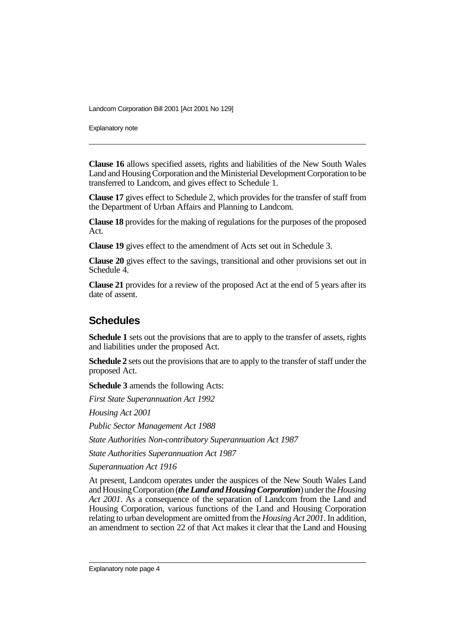Explanatory note

**Clause 16** allows specified assets, rights and liabilities of the New South Wales Land and Housing Corporation and the Ministerial Development Corporation to be transferred to Landcom, and gives effect to Schedule 1.

**Clause 17** gives effect to Schedule 2, which provides for the transfer of staff from the Department of Urban Affairs and Planning to Landcom.

**Clause 18** provides for the making of regulations for the purposes of the proposed Act.

**Clause 19** gives effect to the amendment of Acts set out in Schedule 3.

**Clause 20** gives effect to the savings, transitional and other provisions set out in Schedule 4.

**Clause 21** provides for a review of the proposed Act at the end of 5 years after its date of assent.

#### **Schedules**

**Schedule 1** sets out the provisions that are to apply to the transfer of assets, rights and liabilities under the proposed Act.

**Schedule 2** sets out the provisions that are to apply to the transfer of staff under the proposed Act.

**Schedule 3** amends the following Acts:

*First State Superannuation Act 1992*

*Housing Act 2001*

*Public Sector Management Act 1988*

*State Authorities Non-contributory Superannuation Act 1987*

*State Authorities Superannuation Act 1987*

*Superannuation Act 1916*

At present, Landcom operates under the auspices of the New South Wales Land and Housing Corporation (*the Land and Housing Corporation*) under the *Housing Act 2001*. As a consequence of the separation of Landcom from the Land and Housing Corporation, various functions of the Land and Housing Corporation relating to urban development are omitted from the *Housing Act 2001*. In addition, an amendment to section 22 of that Act makes it clear that the Land and Housing